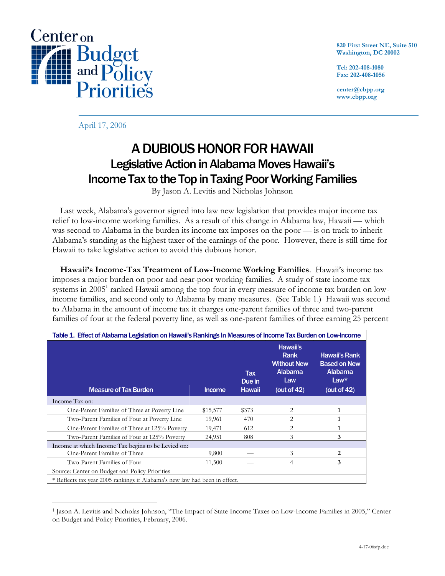

**820 First Street NE, Suite 510 Washington, DC 20002** 

**Tel: 202-408-1080 Fax: 202-408-1056** 

**center@cbpp.org www.cbpp.org** 

April 17, 2006

## A DUBIOUS HONOR FOR HAWAII Legislative Action in Alabama Moves Hawaii's Income Tax to the Top in Taxing Poor Working Families

By Jason A. Levitis and Nicholas Johnson

 Last week, Alabama's governor signed into law new legislation that provides major income tax relief to low-income working families. As a result of this change in Alabama law, Hawaii — which was second to Alabama in the burden its income tax imposes on the poor — is on track to inherit Alabama's standing as the highest taxer of the earnings of the poor. However, there is still time for Hawaii to take legislative action to avoid this dubious honor.

 **Hawaii's Income-Tax Treatment of Low-Income Working Families**. Hawaii's income tax imposes a major burden on poor and near-poor working families. A study of state income tax systems in 2005<sup>1</sup> ranked Hawaii among the top four in every measure of income tax burden on lowincome families, and second only to Alabama by many measures. (See Table 1.) Hawaii was second to Alabama in the amount of income tax it charges one-parent families of three and two-parent families of four at the federal poverty line, as well as one-parent families of three earning 25 percent

| Table 1. Effect of Alabama Legislation on Hawaii's Rankings In Measures of Income Tax Burden on Low-Income |               |                         |                                                                                   |                                                                                           |  |  |  |  |  |
|------------------------------------------------------------------------------------------------------------|---------------|-------------------------|-----------------------------------------------------------------------------------|-------------------------------------------------------------------------------------------|--|--|--|--|--|
| <b>Measure of Tax Burden</b>                                                                               | <b>Income</b> | Tax<br>Due in<br>Hawaii | Hawaii's<br>Rank<br><b>Without New</b><br><b>Alabama</b><br>Law<br>(out of $42$ ) | <b>Hawaii's Rank</b><br><b>Based on New</b><br>Alabama<br>$Law^{\star}$<br>(out of $42$ ) |  |  |  |  |  |
| Income Tax on:                                                                                             |               |                         |                                                                                   |                                                                                           |  |  |  |  |  |
| One-Parent Families of Three at Poverty Line                                                               | \$15,577      | \$373                   | 2                                                                                 | 1                                                                                         |  |  |  |  |  |
| Two-Parent Families of Four at Poverty Line                                                                | 19,961        | 470                     | 2                                                                                 |                                                                                           |  |  |  |  |  |
| One-Parent Families of Three at 125% Poverty                                                               | 19,471        | 612                     | 2                                                                                 | 1                                                                                         |  |  |  |  |  |
| Two-Parent Families of Four at 125% Poverty                                                                | 24,951        | 808                     | 3                                                                                 | 3                                                                                         |  |  |  |  |  |
| Income at which Income Tax begins to be Levied on:                                                         |               |                         |                                                                                   |                                                                                           |  |  |  |  |  |
| One-Parent Families of Three                                                                               | 9,800         |                         | 3                                                                                 | 2                                                                                         |  |  |  |  |  |
| Two-Parent Families of Four                                                                                | 11,500        |                         | 4                                                                                 | 3                                                                                         |  |  |  |  |  |
| Source: Center on Budget and Policy Priorities                                                             |               |                         |                                                                                   |                                                                                           |  |  |  |  |  |
| * Reflects tax year 2005 rankings if Alabama's new law had been in effect.                                 |               |                         |                                                                                   |                                                                                           |  |  |  |  |  |

 $\overline{a}$ 1 Jason A. Levitis and Nicholas Johnson, "The Impact of State Income Taxes on Low-Income Families in 2005," Center on Budget and Policy Priorities, February, 2006.